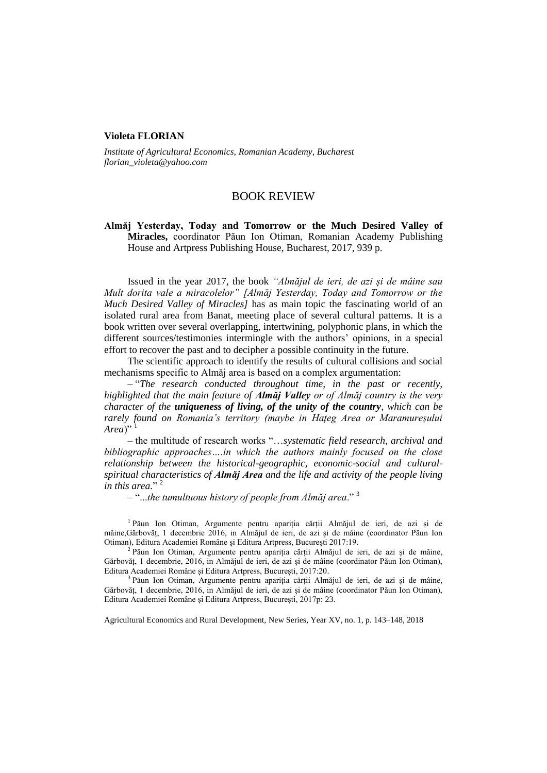## **Violeta FLORIAN**

*Institute of Agricultural Economics, Romanian Academy, Bucharest florian\_violeta@yahoo.com*

## BOOK REVIEW

**Almăj Yesterday, Today and Tomorrow or the Much Desired Valley of Miracles,** coordinator Păun Ion Otiman, Romanian Academy Publishing House and Artpress Publishing House, Bucharest, 2017, 939 p.

Issued in the year 2017, the book *"Almăjul de ieri, de azi și de mâine sau Mult dorita vale a miracolelor" [Almăj Yesterday, Today and Tomorrow or the Much Desired Valley of Miracles]* has as main topic the fascinating world of an isolated rural area from Banat, meeting place of several cultural patterns. It is a book written over several overlapping, intertwining, polyphonic plans, in which the different sources/testimonies intermingle with the authors' opinions, in a special effort to recover the past and to decipher a possible continuity in the future.

The scientific approach to identify the results of cultural collisions and social mechanisms specific to Almăj area is based on a complex argumentation:

– "*The research conducted throughout time, in the past or recently, highlighted that the main feature of Almăj Valley or of Almăj country is the very character of the uniqueness of living, of the unity of the country, which can be rarely found on Romania's territory (maybe in Hațeg Area or Maramureșului*  Area<sup>)"</sup>

– the multitude of research works "…*systematic field research, archival and bibliographic approaches….in which the authors mainly focused on the close relationship between the historical-geographic, economic-social and culturalspiritual characteristics of Almăj Area and the life and activity of the people living*  in this area."<sup>2</sup>

– "...*the tumultuous history of people from Almăj area*." <sup>3</sup>

1 Păun Ion Otiman, Argumente pentru apariția cărții Almăjul de ieri, de azi și de mâine,Gărbovăț, 1 decembrie 2016, in Almăjul de ieri, de azi și de mâine (coordinator Păun Ion Otiman), Editura Academiei Române și Editura Artpress, București 2017:19.

2 Păun Ion Otiman, Argumente pentru apariția cărții Almăjul de ieri, de azi și de mâine, Gărbovăț, 1 decembrie, 2016, in Almăjul de ieri, de azi și de mâine (coordinator Păun Ion Otiman), Editura Academiei Române și Editura Artpress, București, 2017:20.

<sup>3</sup> Păun Ion Otiman, Argumente pentru apariția cărții Almăjul de ieri, de azi și de mâine, Gărbovăț, 1 decembrie, 2016, in Almăjul de ieri, de azi și de mâine (coordinator Păun Ion Otiman), Editura Academiei Române și Editura Artpress, București, 2017p: 23.

Agricultural Economics and Rural Development, New Series, Year XV, no. 1, p. 143–148, 2018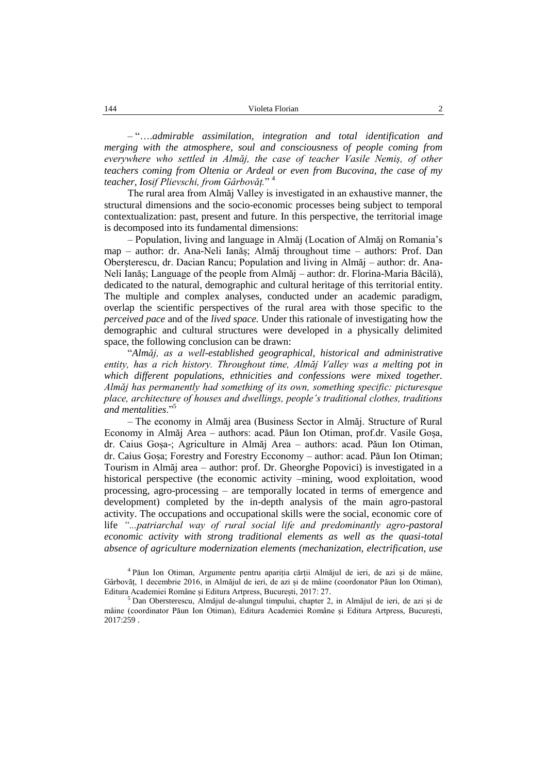– "….*admirable assimilation, integration and total identification and merging with the atmosphere, soul and consciousness of people coming from everywhere who settled in Almăj, the case of teacher Vasile Nemiș, of other teachers coming from Oltenia or Ardeal or even from Bucovina, the case of my teacher, Iosif Plievschi, from Gârbovăț.*" <sup>4</sup>

The rural area from Almăj Valley is investigated in an exhaustive manner, the structural dimensions and the socio-economic processes being subject to temporal contextualization: past, present and future. In this perspective, the territorial image is decomposed into its fundamental dimensions:

– Population, living and language in Almăj (Location of Almăj on Romania's map – author: dr. Ana-Neli Ianăș; Almăj throughout time – authors: Prof. Dan Oberșterescu, dr. Dacian Rancu; Population and living in Almăj – author: dr. Ana-Neli Ianăș; Language of the people from Almăj – author: dr. Florina-Maria Băcilă), dedicated to the natural, demographic and cultural heritage of this territorial entity. The multiple and complex analyses, conducted under an academic paradigm, overlap the scientific perspectives of the rural area with those specific to the *perceived pace* and of the *lived space.* Under this rationale of investigating how the demographic and cultural structures were developed in a physically delimited space, the following conclusion can be drawn:

"*Almăj, as a well-established geographical, historical and administrative entity, has a rich history. Throughout time, Almăj Valley was a melting pot in which different populations, ethnicities and confessions were mixed together. Almăj has permanently had something of its own, something specific: picturesque place, architecture of houses and dwellings, people's traditional clothes, traditions and mentalities*."<sup>5</sup>

– The economy in Almăj area (Business Sector in Almăj. Structure of Rural Economy in Almăj Area – authors: acad. Păun Ion Otiman, prof.dr. Vasile Goșa, dr. Caius Goșa-; Agriculture in Almăj Area – authors: acad. Păun Ion Otiman, dr. Caius Goșa; Forestry and Forestry Ecconomy – author: acad. Păun Ion Otiman; Tourism in Almăj area – author: prof. Dr. Gheorghe Popovici) is investigated in a historical perspective (the economic activity –mining, wood exploitation, wood processing, agro-processing – are temporally located in terms of emergence and development) completed by the in-depth analysis of the main agro-pastoral activity. The occupations and occupational skills were the social, economic core of life *"...patriarchal way of rural social life and predominantly agro-pastoral economic activity with strong traditional elements as well as the quasi-total absence of agriculture modernization elements (mechanization, electrification, use* 

4 Păun Ion Otiman, Argumente pentru apariția cărții Almăjul de ieri, de azi și de mâine, Gârbovăț, 1 decembrie 2016, in Almăjul de ieri, de azi și de mâine (coordonator Păun Ion Otiman), Editura Academiei Române și Editura Artpress, București, 2017: 27.

<sup>5</sup> Dan Obersterescu, Almăjul de-alungul timpului, chapter 2, in Almăjul de ieri, de azi și de mâine (coordinator Păun Ion Otiman), Editura Academiei Române și Editura Artpress, București, 2017:259 .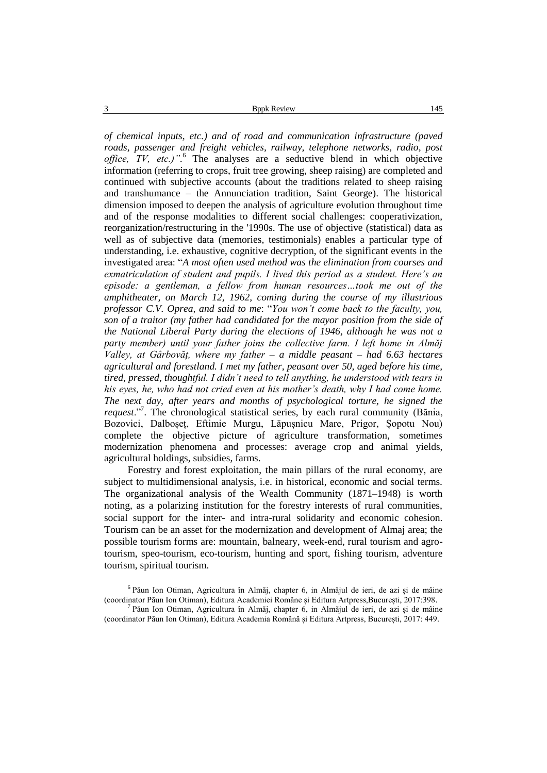*of chemical inputs, etc.) and of road and communication infrastructure (paved roads, passenger and freight vehicles, railway, telephone networks, radio, post office, TV, etc.)".* <sup>6</sup> The analyses are a seductive blend in which objective information (referring to crops, fruit tree growing, sheep raising) are completed and continued with subjective accounts (about the traditions related to sheep raising and transhumance – the Annunciation tradition, Saint George). The historical dimension imposed to deepen the analysis of agriculture evolution throughout time and of the response modalities to different social challenges: cooperativization, reorganization/restructuring in the '1990s. The use of objective (statistical) data as well as of subjective data (memories, testimonials) enables a particular type of understanding, i.e. exhaustive, cognitive decryption, of the significant events in the investigated area: "*A most often used method was the elimination from courses and exmatriculation of student and pupils. I lived this period as a student. Here's an episode: a gentleman, a fellow from human resources…took me out of the amphitheater, on March 12, 1962, coming during the course of my illustrious professor C.V. Oprea, and said to me*: "*You won't come back to the faculty, you, son of a traitor (my father had candidated for the mayor position from the side of the National Liberal Party during the elections of 1946, although he was not a party member) until your father joins the collective farm. I left home in Almăj Valley, at Gârbovăț, where my father – a middle peasant – had 6.63 hectares agricultural and forestland. I met my father, peasant over 50, aged before his time, tired, pressed, thoughtful. I didn't need to tell anything, he understood with tears in his eyes, he, who had not cried even at his mother's death, why I had come home. The next day, after years and months of psychological torture, he signed the request*."<sup>7</sup> . The chronological statistical series, by each rural community (Bănia, Bozovici, Dalboșeț, Eftimie Murgu, Lăpușnicu Mare, Prigor, Șopotu Nou) complete the objective picture of agriculture transformation, sometimes modernization phenomena and processes: average crop and animal yields, agricultural holdings, subsidies, farms.

Forestry and forest exploitation, the main pillars of the rural economy, are subject to multidimensional analysis, i.e. in historical, economic and social terms. The organizational analysis of the Wealth Community (1871–1948) is worth noting, as a polarizing institution for the forestry interests of rural communities, social support for the inter- and intra-rural solidarity and economic cohesion. Tourism can be an asset for the modernization and development of Almaj area; the possible tourism forms are: mountain, balneary, week-end, rural tourism and agrotourism, speo-tourism, eco-tourism, hunting and sport, fishing tourism, adventure tourism, spiritual tourism.

<sup>6</sup> Păun Ion Otiman, Agricultura în Almăj, chapter 6, in Almăjul de ieri, de azi și de mâine (coordinator Păun Ion Otiman), Editura Academiei Române și Editura Artpress,București, 2017:398. <sup>7</sup> Păun Ion Otiman, Agricultura în Almăj, chapter 6, in Almăjul de ieri, de azi și de mâine

<sup>(</sup>coordinator Păun Ion Otiman), Editura Academia Română și Editura Artpress, București, 2017: 449.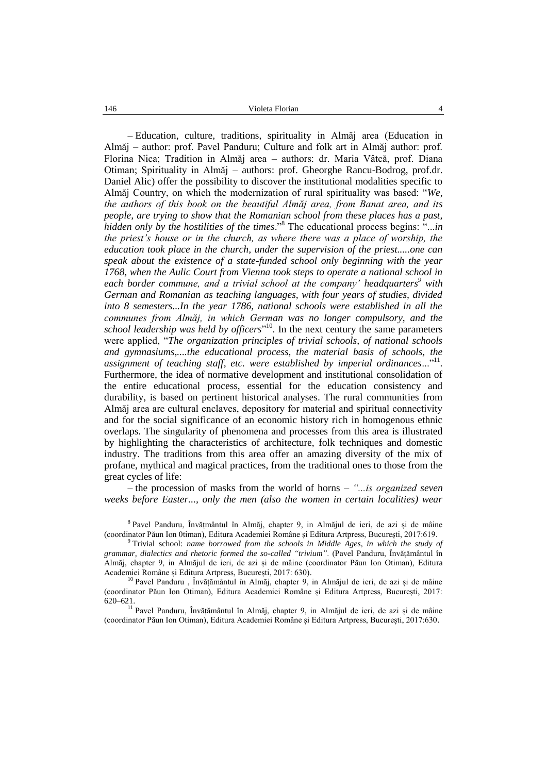– Education, culture, traditions, spirituality in Almăj area (Education in Almăj – author: prof. Pavel Panduru; Culture and folk art in Almăj author: prof. Florina Nica; Tradition in Almăj area – authors: dr. Maria Vâtcă, prof. Diana Otiman; Spirituality in Almăj – authors: prof. Gheorghe Rancu-Bodrog, prof.dr. Daniel Alic) offer the possibility to discover the institutional modalities specific to Almăj Country, on which the modernization of rural spirituality was based: "*We, the authors of this book on the beautiful Almăj area, from Banat area, and its people, are trying to show that the Romanian school from these places has a past, hidden only by the hostilities of the times*."<sup>8</sup> The educational process begins: "...*in the priest's house or in the church, as where there was a place of worship, the education took place in the church, under the supervision of the priest.....one can speak about the existence of a state-funded school only beginning with the year 1768, when the Aulic Court from Vienna took steps to operate a national school in each border commune, and a trivial school at the company' headquarters<sup>9</sup> with German and Romanian as teaching languages, with four years of studies, divided into 8 semesters...In the year 1786, national schools were established in all the communes from Almăj, in which German was no longer compulsory, and the school leadership was held by officers*" <sup>10</sup>. In the next century the same parameters were applied, "*The organization principles of trivial schools, of national schools and gymnasiums,....the educational process, the material basis of schools, the*  assignment of teaching staff, etc. were established by imperial ordinances..."<sup>11</sup>. Furthermore, the idea of normative development and institutional consolidation of the entire educational process, essential for the education consistency and durability, is based on pertinent historical analyses. The rural communities from Almăj area are cultural enclaves, depository for material and spiritual connectivity and for the social significance of an economic history rich in homogenous ethnic overlaps. The singularity of phenomena and processes from this area is illustrated by highlighting the characteristics of architecture, folk techniques and domestic industry. The traditions from this area offer an amazing diversity of the mix of profane, mythical and magical practices, from the traditional ones to those from the great cycles of life:

– the procession of masks from the world of horns *– "...is organized seven weeks before Easter..., only the men (also the women in certain localities) wear* 

<sup>8</sup> Pavel Panduru, Învățmântul în Almăj, chapter 9, in Almăjul de ieri, de azi și de mâine (coordinator Păun Ion 0timan), Editura Academiei Române și Editura Artpress, București, 2017:619.

<sup>9</sup> Trivial school: *name borrowed from the schools in Middle Ages, in which the study of grammar, dialectics and rhetoric formed the so-called "trivium"*. (Pavel Panduru, Învățământul în Almăj, chapter 9, in Almăjul de ieri, de azi și de mâine (coordinator Păun Ion Otiman), Editura Academiei Române și Editura Artpress, București, 2017: 630).

<sup>10</sup> Pavel Panduru, Învățământul în Almăj, chapter 9, in Almăjul de ieri, de azi și de mâine (coordinator Păun Ion Otiman), Editura Academiei Române și Editura Artpress, București, 2017: 620–621.

<sup>11</sup> Pavel Panduru, Învățământul în Almăj, chapter 9, in Almăjul de ieri, de azi și de mâine (coordinator Păun Ion Otiman), Editura Academiei Române și Editura Artpress, București, 2017:630.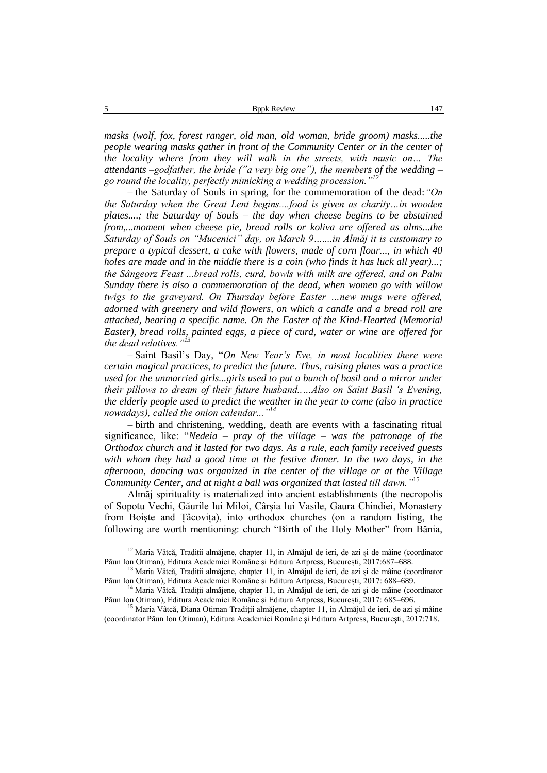*masks (wolf, fox, forest ranger, old man, old woman, bride groom) masks.....the people wearing masks gather in front of the Community Center or in the center of the locality where from they will walk in the streets, with music on… The attendants –godfather, the bride ("a very big one"), the members of the wedding – go round the locality, perfectly mimicking a wedding procession."<sup>12</sup>*

– the Saturday of Souls in spring, for the commemoration of the dead:*"On the Saturday when the Great Lent begins....food is given as charity…in wooden plates....; the Saturday of Souls – the day when cheese begins to be abstained from,...moment when cheese pie, bread rolls or koliva are offered as alms...the Saturday of Souls on "Mucenici" day, on March 9…....in Almăj it is customary to prepare a typical dessert, a cake with flowers, made of corn flour..., in which 40 holes are made and in the middle there is a coin (who finds it has luck all year)...; the Sângeorz Feast ...bread rolls, curd, bowls with milk are offered, and on Palm Sunday there is also a commemoration of the dead, when women go with willow twigs to the graveyard. On Thursday before Easter …new mugs were offered, adorned with greenery and wild flowers, on which a candle and a bread roll are attached, bearing a specific name. On the Easter of the Kind-Hearted (Memorial Easter), bread rolls, painted eggs, a piece of curd, water or wine are offered for the dead relatives."<sup>13</sup>*

– Saint Basil's Day, "*On New Year's Eve, in most localities there were certain magical practices, to predict the future. Thus, raising plates was a practice used for the unmarried girls...girls used to put a bunch of basil and a mirror under their pillows to dream of their future husband..…Also on Saint Basil 's Evening, the elderly people used to predict the weather in the year to come (also in practice nowadays), called the onion calendar..."<sup>14</sup>*

– birth and christening, wedding, death are events with a fascinating ritual significance, like: "*Nedeia – pray of the village – was the patronage of the Orthodox church and it lasted for two days. As a rule, each family received guests*  with whom they had a good time at the festive dinner. In the two days, in the *afternoon, dancing was organized in the center of the village or at the Village Community Center, and at night a ball was organized that lasted till dawn."*<sup>15</sup>

Almăj spirituality is materialized into ancient establishments (the necropolis of Sopotu Vechi, Găurile lui Miloi, Cârșia lui Vasile, Gaura Chindiei, Monastery from Boiște and Țâcovița), into orthodox churches (on a random listing, the following are worth mentioning: church "Birth of the Holy Mother" from Bănia,

 $12$  Maria Vâtcă, Tradiții almăjene, chapter 11, in Almăjul de ieri, de azi și de mâine (coordinator Păun Ion Otiman), Editura Academiei Române și Editura Artpress, București, 2017:687–688.

<sup>&</sup>lt;sup>13</sup> Maria Vâtcă, Tradiții almăjene, chapter 11, in Almăjul de ieri, de azi și de mâine (coordinator Păun Ion Otiman), Editura Academiei Române și Editura Artpress, București, 2017: 688–689.

<sup>&</sup>lt;sup>14</sup> Maria Vâtcă, Tradiții almăjene, chapter 11, in Almăjul de ieri, de azi și de măine (coordinator Păun Ion Otiman), Editura Academiei Române și Editura Artpress, București, 2017: 685–696.

<sup>&</sup>lt;sup>15</sup> Maria Vâtcă, Diana Otiman Tradiții almăjene, chapter 11, in Almăjul de ieri, de azi și mâine (coordinator Păun Ion Otiman), Editura Academiei Române și Editura Artpress, București, 2017:718.